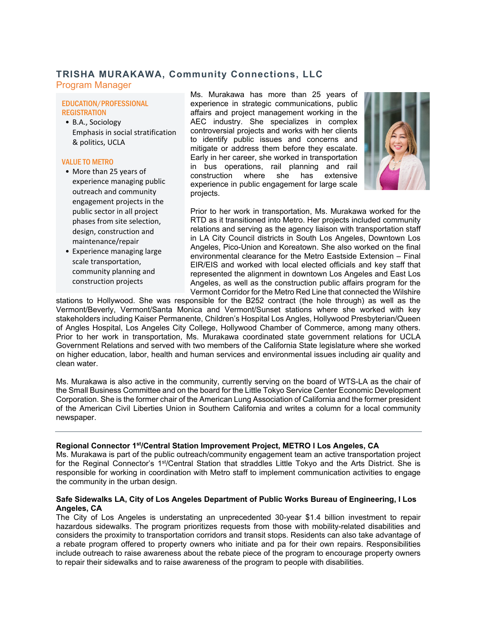# **TRISHA MURAKAWA, Community Connections, LLC**

Program Manager

## EDUCATION/PROFESSIONAL **REGISTRATION**

• B.A., Sociology Emphasis in social stratification & politics, UCLA

## VALUE TO METRO

- More than 25 years of experience managing public outreach and community engagement projects in the public sector in all project phases from site selection, design, construction and maintenance/repair
- Experience managing large scale transportation, community planning and construction projects

Ms. Murakawa has more than 25 years of experience in strategic communications, public affairs and project management working in the AEC industry. She specializes in complex controversial projects and works with her clients to identify public issues and concerns and mitigate or address them before they escalate. Early in her career, she worked in transportation in bus operations, rail planning and rail construction where she has extensive experience in public engagement for large scale projects.



Prior to her work in transportation, Ms. Murakawa worked for the RTD as it transitioned into Metro. Her projects included community relations and serving as the agency liaison with transportation staff in LA City Council districts in South Los Angeles, Downtown Los Angeles, Pico-Union and Koreatown. She also worked on the final environmental clearance for the Metro Eastside Extension – Final EIR/EIS and worked with local elected officials and key staff that represented the alignment in downtown Los Angeles and East Los Angeles, as well as the construction public affairs program for the Vermont Corridor for the Metro Red Line that connected the Wilshire

stations to Hollywood. She was responsible for the B252 contract (the hole through) as well as the Vermont/Beverly, Vermont/Santa Monica and Vermont/Sunset stations where she worked with key stakeholders including Kaiser Permanente, Children's Hospital Los Angles, Hollywood Presbyterian/Queen of Angles Hospital, Los Angeles City College, Hollywood Chamber of Commerce, among many others. Prior to her work in transportation, Ms. Murakawa coordinated state government relations for UCLA Government Relations and served with two members of the California State legislature where she worked on higher education, labor, health and human services and environmental issues including air quality and clean water.

Ms. Murakawa is also active in the community, currently serving on the board of WTS-LA as the chair of the Small Business Committee and on the board for the Little Tokyo Service Center Economic Development Corporation. She is the former chair of the American Lung Association of California and the former president of the American Civil Liberties Union in Southern California and writes a column for a local community newspaper.

## **Regional Connector 1st/Central Station Improvement Project, METRO l Los Angeles, CA**

Ms. Murakawa is part of the public outreach/community engagement team an active transportation project for the Reginal Connector's 1<sup>st</sup>/Central Station that straddles Little Tokyo and the Arts District. She is responsible for working in coordination with Metro staff to implement communication activities to engage the community in the urban design.

## **Safe Sidewalks LA, City of Los Angeles Department of Public Works Bureau of Engineering, l Los Angeles, CA**

The City of Los Angeles is understating an unprecedented 30-year \$1.4 billion investment to repair hazardous sidewalks. The program prioritizes requests from those with mobility-related disabilities and considers the proximity to transportation corridors and transit stops. Residents can also take advantage of a rebate program offered to property owners who initiate and pa for their own repairs. Responsibilities include outreach to raise awareness about the rebate piece of the program to encourage property owners to repair their sidewalks and to raise awareness of the program to people with disabilities.